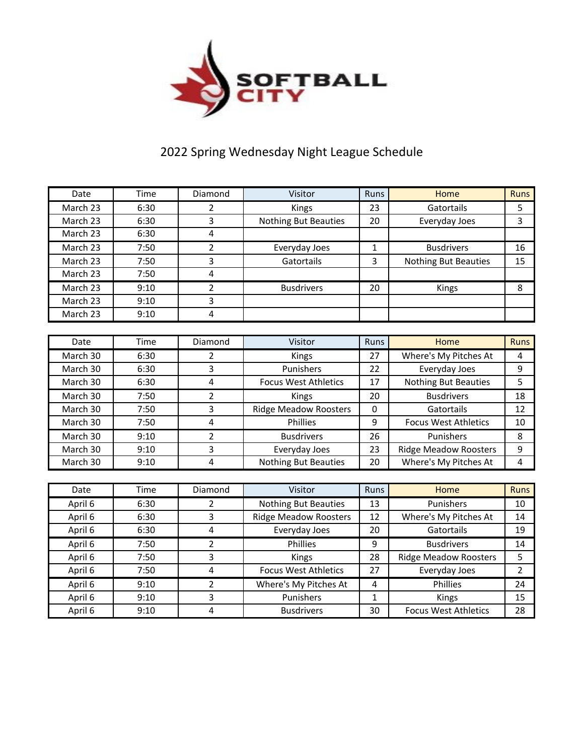

## 2022 Spring Wednesday Night League Schedule

| Date     | Time | Diamond        | Visitor                      | Runs         | Home                         | <b>Runs</b>    |
|----------|------|----------------|------------------------------|--------------|------------------------------|----------------|
| March 23 | 6:30 | $\overline{2}$ | Kings                        | 23           | Gatortails                   | 5              |
| March 23 | 6:30 | 3              | <b>Nothing But Beauties</b>  | 20           | Everyday Joes                | 3              |
| March 23 | 6:30 | $\overline{4}$ |                              |              |                              |                |
| March 23 | 7:50 | 2              | Everyday Joes                | $\mathbf{1}$ | <b>Busdrivers</b>            | 16             |
| March 23 | 7:50 | 3              | Gatortails                   | 3            | <b>Nothing But Beauties</b>  | 15             |
| March 23 | 7:50 | 4              |                              |              |                              |                |
| March 23 | 9:10 | $\overline{2}$ | <b>Busdrivers</b>            | 20           | Kings                        | 8              |
| March 23 | 9:10 | 3              |                              |              |                              |                |
| March 23 | 9:10 | $\overline{4}$ |                              |              |                              |                |
|          |      |                |                              |              |                              |                |
| Date     | Time | Diamond        | Visitor                      | Runs         | Home                         | <b>Runs</b>    |
| March 30 | 6:30 | 2              | Kings                        | 27           | Where's My Pitches At        | 4              |
| March 30 | 6:30 | 3              | Punishers                    | 22           | Everyday Joes                | 9              |
| March 30 | 6:30 | $\overline{4}$ | <b>Focus West Athletics</b>  | 17           | Nothing But Beauties         | 5              |
| March 30 | 7:50 | 2              | Kings                        | 20           | <b>Busdrivers</b>            | 18             |
| March 30 | 7:50 | 3              | <b>Ridge Meadow Roosters</b> | $\mathbf 0$  | Gatortails                   | 12             |
| March 30 | 7:50 | 4              | Phillies                     | 9            | <b>Focus West Athletics</b>  | 10             |
| March 30 | 9:10 | 2              | <b>Busdrivers</b>            | 26           | Punishers                    | 8              |
| March 30 | 9:10 | 3              | Everyday Joes                | 23           | <b>Ridge Meadow Roosters</b> | 9              |
| March 30 | 9:10 | 4              | <b>Nothing But Beauties</b>  | 20           | Where's My Pitches At        | 4              |
|          |      |                |                              |              |                              |                |
| Date     | Time | Diamond        | Visitor                      | Runs         | Home                         | <b>Runs</b>    |
| April 6  | 6:30 | 2              | <b>Nothing But Beauties</b>  | 13           | Punishers                    | 10             |
| April 6  | 6:30 | 3              | <b>Ridge Meadow Roosters</b> | 12           | Where's My Pitches At        | 14             |
| April 6  | 6:30 | 4              | Everyday Joes                | 20           | Gatortails                   | 19             |
| April 6  | 7:50 | 2              | Phillies                     | 9            | <b>Busdrivers</b>            | 14             |
| April 6  | 7:50 | 3              | Kings                        | 28           | <b>Ridge Meadow Roosters</b> | 5              |
| April 6  | 7:50 | 4              | <b>Focus West Athletics</b>  | 27           | Everyday Joes                | $\overline{2}$ |
| April 6  | 9:10 | 2              | Where's My Pitches At        | 4            | Phillies                     | 24             |
| April 6  | 9:10 | 3              | Punishers                    | $\mathbf{1}$ | Kings                        | 15             |
| April 6  | 9:10 | 4              | <b>Busdrivers</b>            | 30           | <b>Focus West Athletics</b>  | 28             |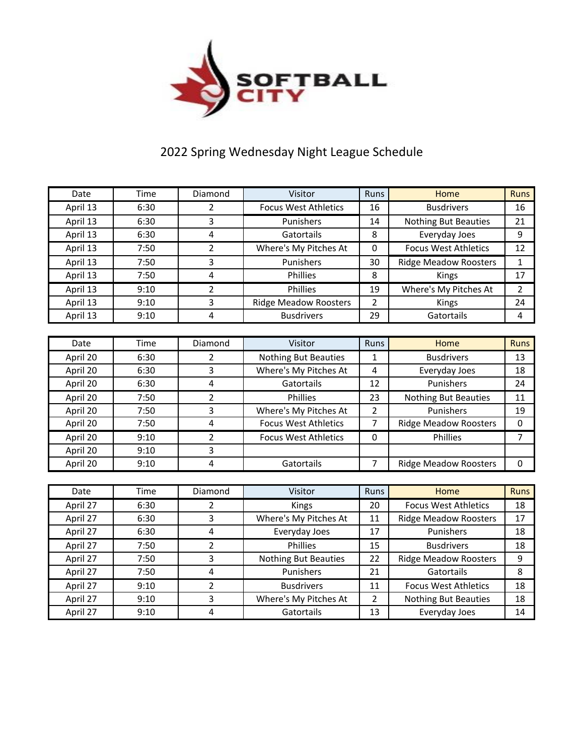

## 2022 Spring Wednesday Night League Schedule

| Date     | Time | Diamond                 | Visitor                      | Runs           | Home                         | <b>Runs</b>    |
|----------|------|-------------------------|------------------------------|----------------|------------------------------|----------------|
| April 13 | 6:30 | 2                       | <b>Focus West Athletics</b>  | 16             | <b>Busdrivers</b>            | 16             |
| April 13 | 6:30 | 3                       | Punishers                    | 14             | <b>Nothing But Beauties</b>  | 21             |
| April 13 | 6:30 | 4                       | Gatortails                   | 8              | Everyday Joes                | 9              |
| April 13 | 7:50 | $\overline{2}$          | Where's My Pitches At        | 0              | <b>Focus West Athletics</b>  | 12             |
| April 13 | 7:50 | 3                       | Punishers                    | 30             | <b>Ridge Meadow Roosters</b> | 1              |
| April 13 | 7:50 | $\overline{4}$          | Phillies                     | 8              | Kings                        | 17             |
| April 13 | 9:10 | 2                       | Phillies                     | 19             | Where's My Pitches At        | $\overline{2}$ |
| April 13 | 9:10 | 3                       | <b>Ridge Meadow Roosters</b> | $\overline{2}$ | Kings                        | 24             |
| April 13 | 9:10 | $\overline{4}$          | <b>Busdrivers</b>            | 29             | Gatortails                   | 4              |
|          |      |                         |                              |                |                              |                |
| Date     | Time | Diamond                 | Visitor                      | Runs           | Home                         | <b>Runs</b>    |
| April 20 | 6:30 | 2                       | <b>Nothing But Beauties</b>  | 1              | <b>Busdrivers</b>            | 13             |
| April 20 | 6:30 | 3                       | Where's My Pitches At        | 4              | Everyday Joes                | 18             |
| April 20 | 6:30 | $\overline{4}$          | Gatortails                   | 12             | Punishers                    | 24             |
| April 20 | 7:50 | $\overline{2}$          | Phillies                     | 23             | Nothing But Beauties         | 11             |
| April 20 | 7:50 | 3                       | Where's My Pitches At        | $\overline{2}$ | Punishers                    | 19             |
| April 20 | 7:50 | $\overline{4}$          | <b>Focus West Athletics</b>  | $\overline{7}$ | <b>Ridge Meadow Roosters</b> | 0              |
| April 20 | 9:10 | 2                       | <b>Focus West Athletics</b>  | 0              | Phillies                     | 7              |
| April 20 | 9:10 | 3                       |                              |                |                              |                |
| April 20 | 9:10 | $\overline{\mathbf{4}}$ | Gatortails                   | $\overline{7}$ | <b>Ridge Meadow Roosters</b> | 0              |
|          |      |                         |                              |                |                              |                |
| Date     | Time | Diamond                 | Visitor                      | Runs           | Home                         | <b>Runs</b>    |
| April 27 | 6:30 | 2                       | Kings                        | 20             | <b>Focus West Athletics</b>  | 18             |
| April 27 | 6:30 | 3                       | Where's My Pitches At        | 11             | <b>Ridge Meadow Roosters</b> | 17             |
| April 27 | 6:30 | $\pmb{4}$               | Everyday Joes                | 17             | Punishers                    | 18             |
| April 27 | 7:50 | 2                       | Phillies                     | 15             | <b>Busdrivers</b>            | 18             |
| April 27 | 7:50 | 3                       | <b>Nothing But Beauties</b>  | 22             | <b>Ridge Meadow Roosters</b> | 9              |
| April 27 | 7:50 | 4                       | Punishers                    | 21             | Gatortails                   | 8              |
| April 27 | 9:10 | 2                       | <b>Busdrivers</b>            | 11             | <b>Focus West Athletics</b>  | 18             |
| April 27 | 9:10 | 3                       | Where's My Pitches At        | $\overline{2}$ | Nothing But Beauties         | 18             |
| April 27 | 9:10 | 4                       | Gatortails                   | 13             | Everyday Joes                | 14             |